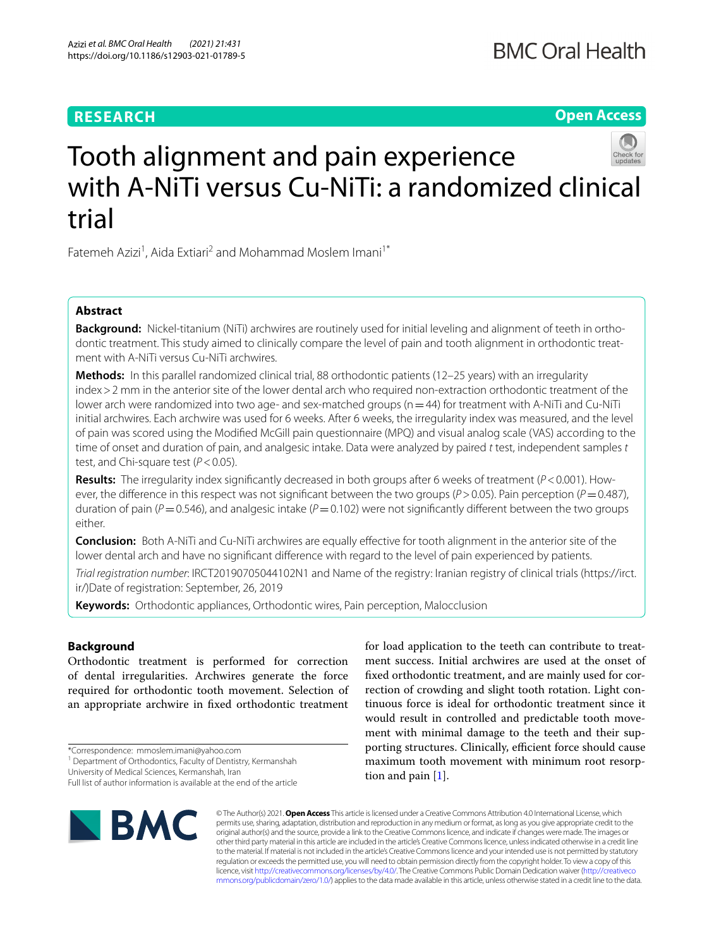## **RESEARCH**

## **Open Access**



# Tooth alignment and pain experience with A-NiTi versus Cu-NiTi: a randomized clinical trial

Fatemeh Azizi<sup>1</sup>, Aida Extiari<sup>2</sup> and Mohammad Moslem Imani<sup>1\*</sup>

## **Abstract**

**Background:** Nickel-titanium (NiTi) archwires are routinely used for initial leveling and alignment of teeth in orthodontic treatment. This study aimed to clinically compare the level of pain and tooth alignment in orthodontic treatment with A-NiTi versus Cu-NiTi archwires.

**Methods:** In this parallel randomized clinical trial, 88 orthodontic patients (12–25 years) with an irregularity index>2 mm in the anterior site of the lower dental arch who required non-extraction orthodontic treatment of the lower arch were randomized into two age- and sex-matched groups (n = 44) for treatment with A-NiTi and Cu-NiTi initial archwires. Each archwire was used for 6 weeks. After 6 weeks, the irregularity index was measured, and the level of pain was scored using the Modifed McGill pain questionnaire (MPQ) and visual analog scale (VAS) according to the time of onset and duration of pain, and analgesic intake. Data were analyzed by paired *t* test, independent samples *t* test, and Chi-square test (*P*<0.05).

**Results:** The irregularity index signifcantly decreased in both groups after 6 weeks of treatment (*P*<0.001). However, the diference in this respect was not signifcant between the two groups (*P*>0.05). Pain perception (*P*=0.487), duration of pain ( $P=0.546$ ), and analgesic intake ( $P=0.102$ ) were not significantly different between the two groups either.

**Conclusion:** Both A-NiTi and Cu-NiTi archwires are equally efective for tooth alignment in the anterior site of the lower dental arch and have no significant difference with regard to the level of pain experienced by patients.

*Trial registration number*: IRCT20190705044102N1 and Name of the registry: Iranian registry of clinical trials (https://irct. ir/)Date of registration: September, 26, 2019

**Keywords:** Orthodontic appliances, Orthodontic wires, Pain perception, Malocclusion

## **Background**

Orthodontic treatment is performed for correction of dental irregularities. Archwires generate the force required for orthodontic tooth movement. Selection of an appropriate archwire in fxed orthodontic treatment

University of Medical Sciences, Kermanshah, Iran

Full list of author information is available at the end of the article



for load application to the teeth can contribute to treatment success. Initial archwires are used at the onset of fxed orthodontic treatment, and are mainly used for correction of crowding and slight tooth rotation. Light continuous force is ideal for orthodontic treatment since it would result in controlled and predictable tooth movement with minimal damage to the teeth and their supporting structures. Clinically, efficient force should cause maximum tooth movement with minimum root resorption and pain [\[1](#page-6-0)].

© The Author(s) 2021. **Open Access** This article is licensed under a Creative Commons Attribution 4.0 International License, which permits use, sharing, adaptation, distribution and reproduction in any medium or format, as long as you give appropriate credit to the original author(s) and the source, provide a link to the Creative Commons licence, and indicate if changes were made. The images or other third party material in this article are included in the article's Creative Commons licence, unless indicated otherwise in a credit line to the material. If material is not included in the article's Creative Commons licence and your intended use is not permitted by statutory regulation or exceeds the permitted use, you will need to obtain permission directly from the copyright holder. To view a copy of this licence, visit [http://creativecommons.org/licenses/by/4.0/.](http://creativecommons.org/licenses/by/4.0/) The Creative Commons Public Domain Dedication waiver ([http://creativeco](http://creativecommons.org/publicdomain/zero/1.0/) [mmons.org/publicdomain/zero/1.0/](http://creativecommons.org/publicdomain/zero/1.0/)) applies to the data made available in this article, unless otherwise stated in a credit line to the data.

<sup>\*</sup>Correspondence: mmoslem.imani@yahoo.com

<sup>&</sup>lt;sup>1</sup> Department of Orthodontics, Faculty of Dentistry, Kermanshah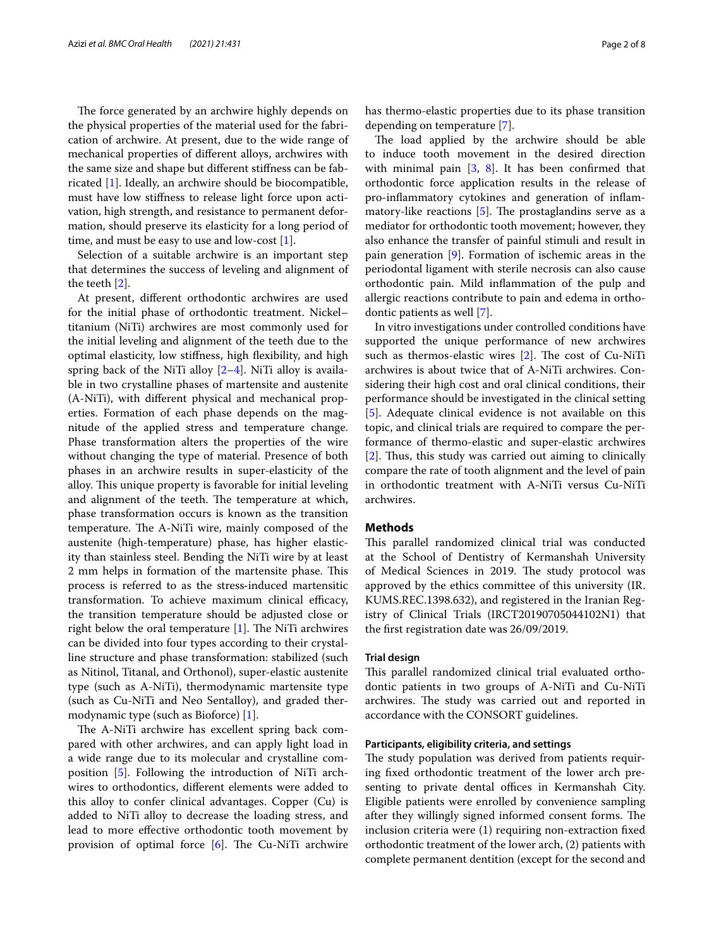The force generated by an archwire highly depends on the physical properties of the material used for the fabrication of archwire. At present, due to the wide range of mechanical properties of diferent alloys, archwires with the same size and shape but diferent stifness can be fabricated [\[1](#page-6-0)]. Ideally, an archwire should be biocompatible, must have low stifness to release light force upon activation, high strength, and resistance to permanent deformation, should preserve its elasticity for a long period of time, and must be easy to use and low-cost [[1](#page-6-0)].

Selection of a suitable archwire is an important step that determines the success of leveling and alignment of the teeth [\[2](#page-6-1)].

At present, diferent orthodontic archwires are used for the initial phase of orthodontic treatment. Nickel– titanium (NiTi) archwires are most commonly used for the initial leveling and alignment of the teeth due to the optimal elasticity, low stifness, high fexibility, and high spring back of the NiTi alloy [\[2](#page-6-1)[–4](#page-6-2)]. NiTi alloy is available in two crystalline phases of martensite and austenite (A-NiTi), with diferent physical and mechanical properties. Formation of each phase depends on the magnitude of the applied stress and temperature change. Phase transformation alters the properties of the wire without changing the type of material. Presence of both phases in an archwire results in super-elasticity of the alloy. This unique property is favorable for initial leveling and alignment of the teeth. The temperature at which, phase transformation occurs is known as the transition temperature. The A-NiTi wire, mainly composed of the austenite (high-temperature) phase, has higher elasticity than stainless steel. Bending the NiTi wire by at least 2 mm helps in formation of the martensite phase. This process is referred to as the stress‐induced martensitic transformation. To achieve maximum clinical efficacy, the transition temperature should be adjusted close or right below the oral temperature  $[1]$  $[1]$ . The NiTi archwires can be divided into four types according to their crystalline structure and phase transformation: stabilized (such as Nitinol, Titanal, and Orthonol), super-elastic austenite type (such as A-NiTi), thermodynamic martensite type (such as Cu-NiTi and Neo Sentalloy), and graded thermodynamic type (such as Bioforce) [[1\]](#page-6-0).

The A-NiTi archwire has excellent spring back compared with other archwires, and can apply light load in a wide range due to its molecular and crystalline composition [\[5](#page-7-0)]. Following the introduction of NiTi archwires to orthodontics, diferent elements were added to this alloy to confer clinical advantages. Copper (Cu) is added to NiTi alloy to decrease the loading stress, and lead to more efective orthodontic tooth movement by provision of optimal force  $[6]$  $[6]$ . The Cu-NiTi archwire has thermo-elastic properties due to its phase transition depending on temperature [\[7\]](#page-7-2).

The load applied by the archwire should be able to induce tooth movement in the desired direction with minimal pain  $[3, 8]$  $[3, 8]$  $[3, 8]$  $[3, 8]$ . It has been confirmed that orthodontic force application results in the release of pro-infammatory cytokines and generation of infammatory-like reactions  $[5]$  $[5]$ . The prostaglandins serve as a mediator for orthodontic tooth movement; however, they also enhance the transfer of painful stimuli and result in pain generation [[9\]](#page-7-4). Formation of ischemic areas in the periodontal ligament with sterile necrosis can also cause orthodontic pain. Mild infammation of the pulp and allergic reactions contribute to pain and edema in orthodontic patients as well [[7\]](#page-7-2).

In vitro investigations under controlled conditions have supported the unique performance of new archwires such as thermos-elastic wires  $[2]$  $[2]$ . The cost of Cu-NiTi archwires is about twice that of A-NiTi archwires. Considering their high cost and oral clinical conditions, their performance should be investigated in the clinical setting [[5\]](#page-7-0). Adequate clinical evidence is not available on this topic, and clinical trials are required to compare the performance of thermo-elastic and super-elastic archwires  $[2]$  $[2]$ . Thus, this study was carried out aiming to clinically compare the rate of tooth alignment and the level of pain in orthodontic treatment with A-NiTi versus Cu-NiTi archwires.

## **Methods**

This parallel randomized clinical trial was conducted at the School of Dentistry of Kermanshah University of Medical Sciences in 2019. The study protocol was approved by the ethics committee of this university (IR. KUMS.REC.1398.632), and registered in the Iranian Registry of Clinical Trials (IRCT20190705044102N1) that the frst registration date was 26/09/2019.

## **Trial design**

This parallel randomized clinical trial evaluated orthodontic patients in two groups of A-NiTi and Cu-NiTi archwires. The study was carried out and reported in accordance with the CONSORT guidelines.

#### **Participants, eligibility criteria, and settings**

The study population was derived from patients requiring fxed orthodontic treatment of the lower arch presenting to private dental offices in Kermanshah City. Eligible patients were enrolled by convenience sampling after they willingly signed informed consent forms. The inclusion criteria were (1) requiring non-extraction fxed orthodontic treatment of the lower arch, (2) patients with complete permanent dentition (except for the second and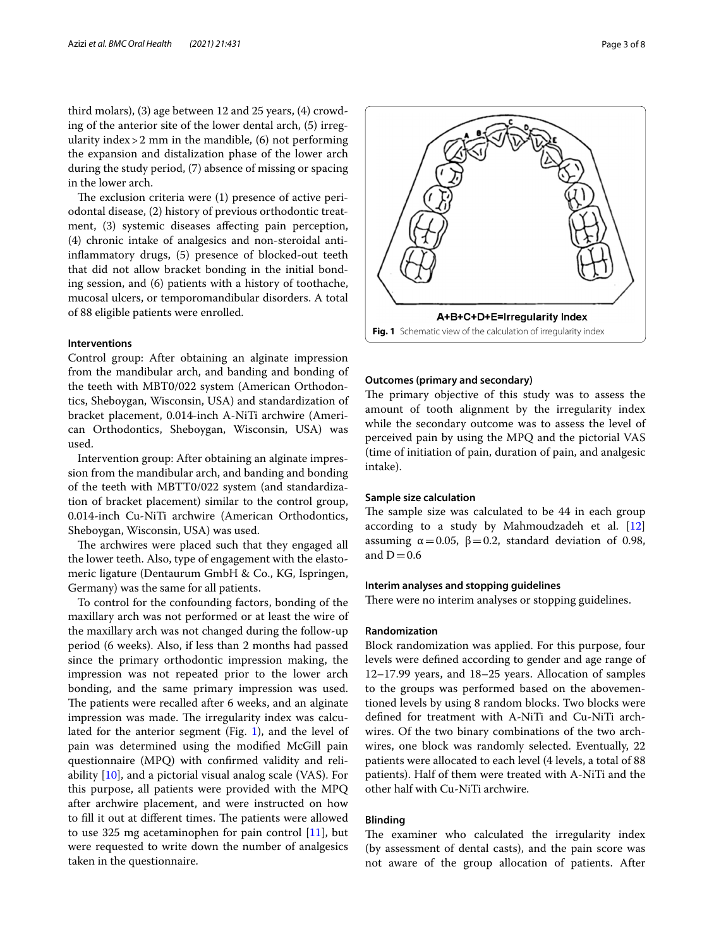third molars), (3) age between 12 and 25 years, (4) crowding of the anterior site of the lower dental arch, (5) irregularity index  $>$  2 mm in the mandible, (6) not performing the expansion and distalization phase of the lower arch during the study period, (7) absence of missing or spacing in the lower arch.

The exclusion criteria were  $(1)$  presence of active periodontal disease, (2) history of previous orthodontic treatment, (3) systemic diseases afecting pain perception, (4) chronic intake of analgesics and non-steroidal antiinfammatory drugs, (5) presence of blocked-out teeth that did not allow bracket bonding in the initial bonding session, and (6) patients with a history of toothache, mucosal ulcers, or temporomandibular disorders. A total of 88 eligible patients were enrolled.

## **Interventions**

Control group: After obtaining an alginate impression from the mandibular arch, and banding and bonding of the teeth with MBT0/022 system (American Orthodontics, Sheboygan, Wisconsin, USA) and standardization of bracket placement, 0.014-inch A-NiTi archwire (American Orthodontics, Sheboygan, Wisconsin, USA) was used.

Intervention group: After obtaining an alginate impression from the mandibular arch, and banding and bonding of the teeth with MBTT0/022 system (and standardization of bracket placement) similar to the control group, 0.014-inch Cu-NiTi archwire (American Orthodontics, Sheboygan, Wisconsin, USA) was used.

The archwires were placed such that they engaged all the lower teeth. Also, type of engagement with the elastomeric ligature (Dentaurum GmbH & Co., KG, Ispringen, Germany) was the same for all patients.

To control for the confounding factors, bonding of the maxillary arch was not performed or at least the wire of the maxillary arch was not changed during the follow-up period (6 weeks). Also, if less than 2 months had passed since the primary orthodontic impression making, the impression was not repeated prior to the lower arch bonding, and the same primary impression was used. The patients were recalled after 6 weeks, and an alginate impression was made. The irregularity index was calculated for the anterior segment (Fig. [1\)](#page-2-0), and the level of pain was determined using the modifed McGill pain questionnaire (MPQ) with confrmed validity and reliability [[10\]](#page-7-5), and a pictorial visual analog scale (VAS). For this purpose, all patients were provided with the MPQ after archwire placement, and were instructed on how to fill it out at different times. The patients were allowed to use 325 mg acetaminophen for pain control [\[11](#page-7-6)], but were requested to write down the number of analgesics taken in the questionnaire.



<span id="page-2-0"></span>**Fig. 1** Schematic view of the calculation of irregularity index

### **Outcomes (primary and secondary)**

The primary objective of this study was to assess the amount of tooth alignment by the irregularity index while the secondary outcome was to assess the level of perceived pain by using the MPQ and the pictorial VAS (time of initiation of pain, duration of pain, and analgesic intake).

## **Sample size calculation**

The sample size was calculated to be 44 in each group according to a study by Mahmoudzadeh et al. [[12](#page-7-7)] assuming  $α=0.05$ ,  $β=0.2$ , standard deviation of 0.98, and  $D=0.6$ 

## **Interim analyses and stopping guidelines**

There were no interim analyses or stopping guidelines.

## **Randomization**

Block randomization was applied. For this purpose, four levels were defned according to gender and age range of 12–17.99 years, and 18–25 years. Allocation of samples to the groups was performed based on the abovementioned levels by using 8 random blocks. Two blocks were defned for treatment with A-NiTi and Cu-NiTi archwires. Of the two binary combinations of the two archwires, one block was randomly selected. Eventually, 22 patients were allocated to each level (4 levels, a total of 88 patients). Half of them were treated with A-NiTi and the other half with Cu-NiTi archwire.

### **Blinding**

The examiner who calculated the irregularity index (by assessment of dental casts), and the pain score was not aware of the group allocation of patients. After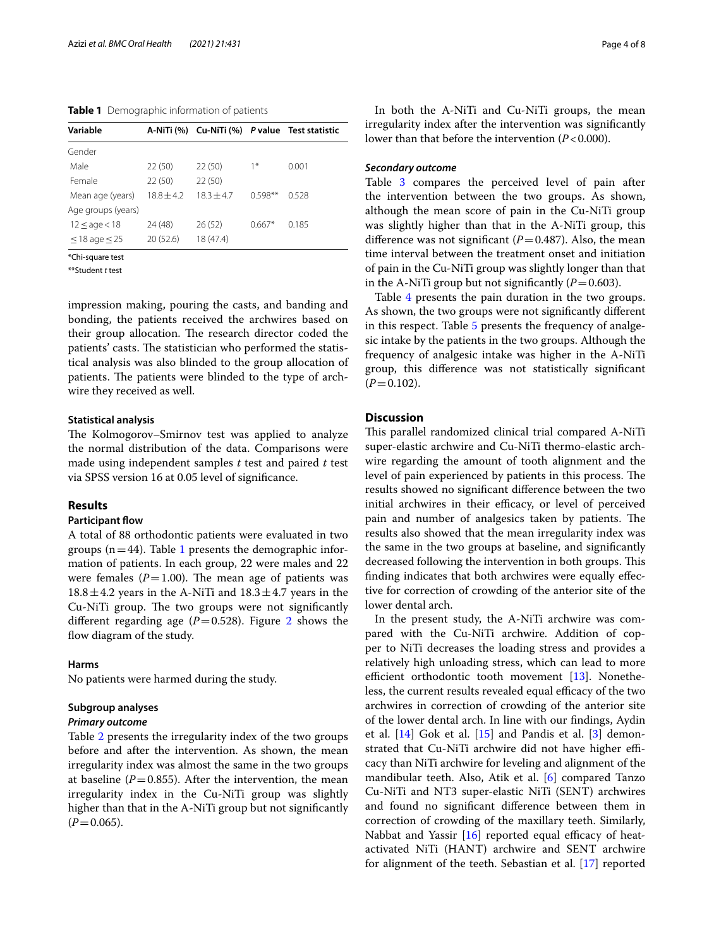<span id="page-3-0"></span>**Table 1** Demographic information of patients

| Variable             |              |              |           | A-NiTi (%) Cu-NiTi (%) P value Test statistic |
|----------------------|--------------|--------------|-----------|-----------------------------------------------|
| Gender               |              |              |           |                                               |
| Male                 | 22(50)       | 22(50)       | $1*$      | 0.001                                         |
| Female               | 22(50)       | 22(50)       |           |                                               |
| Mean age (years)     | $18.8 + 4.2$ | $18.3 + 4.7$ | $0.598**$ | 0.528                                         |
| Age groups (years)   |              |              |           |                                               |
| $12 \leq$ age $<$ 18 | 24 (48)      | 26(52)       | $0.667*$  | 0.185                                         |
| $<$ 18 age $<$ 25    | 20(52.6)     | 18 (47.4)    |           |                                               |

\*Chi-square test

\*\*Student *t* test

impression making, pouring the casts, and banding and bonding, the patients received the archwires based on their group allocation. The research director coded the patients' casts. The statistician who performed the statistical analysis was also blinded to the group allocation of patients. The patients were blinded to the type of archwire they received as well.

## **Statistical analysis**

The Kolmogorov–Smirnov test was applied to analyze the normal distribution of the data. Comparisons were made using independent samples *t* test and paired *t* test via SPSS version 16 at 0.05 level of signifcance.

## **Results**

## **Participant flow**

A total of 88 orthodontic patients were evaluated in two groups ( $n=44$ ). Table [1](#page-3-0) presents the demographic information of patients. In each group, 22 were males and 22 were females  $(P=1.00)$ . The mean age of patients was  $18.8 \pm 4.2$  years in the A-NiTi and  $18.3 \pm 4.7$  years in the Cu-NiTi group. The two groups were not significantly different regarding age  $(P=0.528)$ . Figure [2](#page-4-0) shows the flow diagram of the study.

## **Harms**

No patients were harmed during the study.

#### **Subgroup analyses**

#### *Primary outcome*

Table [2](#page-5-0) presents the irregularity index of the two groups before and after the intervention. As shown, the mean irregularity index was almost the same in the two groups at baseline  $(P=0.855)$ . After the intervention, the mean irregularity index in the Cu-NiTi group was slightly higher than that in the A-NiTi group but not signifcantly  $(P=0.065)$ .

In both the A-NiTi and Cu-NiTi groups, the mean irregularity index after the intervention was signifcantly lower than that before the intervention (*P*<0.000).

## *Secondary outcome*

Table [3](#page-5-1) compares the perceived level of pain after the intervention between the two groups. As shown, although the mean score of pain in the Cu-NiTi group was slightly higher than that in the A-NiTi group, this difference was not significant  $(P=0.487)$ . Also, the mean time interval between the treatment onset and initiation of pain in the Cu-NiTi group was slightly longer than that in the A-NiTi group but not significantly  $(P=0.603)$ .

Table [4](#page-5-2) presents the pain duration in the two groups. As shown, the two groups were not signifcantly diferent in this respect. Table [5](#page-5-3) presents the frequency of analgesic intake by the patients in the two groups. Although the frequency of analgesic intake was higher in the A-NiTi group, this diference was not statistically signifcant  $(P=0.102)$ .

## **Discussion**

This parallel randomized clinical trial compared A-NiTi super-elastic archwire and Cu-NiTi thermo-elastic archwire regarding the amount of tooth alignment and the level of pain experienced by patients in this process. The results showed no signifcant diference between the two initial archwires in their efficacy, or level of perceived pain and number of analgesics taken by patients. The results also showed that the mean irregularity index was the same in the two groups at baseline, and signifcantly decreased following the intervention in both groups. This fnding indicates that both archwires were equally efective for correction of crowding of the anterior site of the lower dental arch.

In the present study, the A-NiTi archwire was compared with the Cu-NiTi archwire. Addition of copper to NiTi decreases the loading stress and provides a relatively high unloading stress, which can lead to more efficient orthodontic tooth movement  $[13]$  $[13]$ . Nonetheless, the current results revealed equal efficacy of the two archwires in correction of crowding of the anterior site of the lower dental arch. In line with our fndings, Aydin et al.  $[14]$  $[14]$  Gok et al.  $[15]$  $[15]$  and Pandis et al.  $[3]$  $[3]$  demonstrated that Cu-NiTi archwire did not have higher efficacy than NiTi archwire for leveling and alignment of the mandibular teeth. Also, Atik et al. [[6\]](#page-7-1) compared Tanzo Cu-NiTi and NT3 super-elastic NiTi (SENT) archwires and found no signifcant diference between them in correction of crowding of the maxillary teeth. Similarly, Nabbat and Yassir  $[16]$  $[16]$  $[16]$  reported equal efficacy of heatactivated NiTi (HANT) archwire and SENT archwire for alignment of the teeth. Sebastian et al. [[17\]](#page-7-12) reported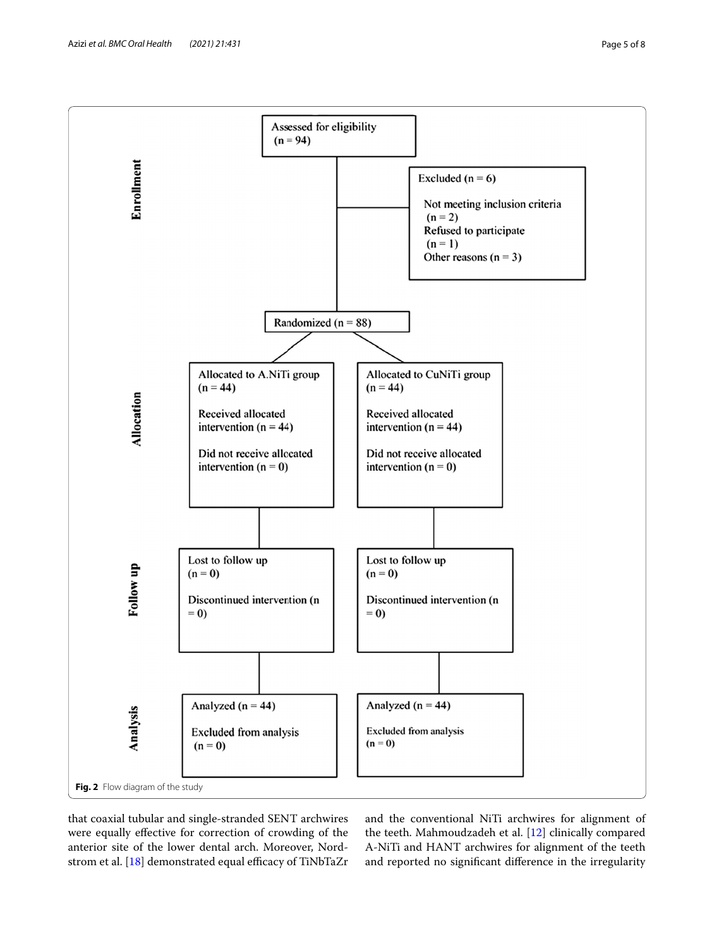

<span id="page-4-0"></span>that coaxial tubular and single-stranded SENT archwires were equally efective for correction of crowding of the anterior site of the lower dental arch. Moreover, Nordstrom et al.  $[18]$  $[18]$  demonstrated equal efficacy of TiNbTaZr and the conventional NiTi archwires for alignment of the teeth. Mahmoudzadeh et al. [[12](#page-7-7)] clinically compared A-NiTi and HANT archwires for alignment of the teeth and reported no signifcant diference in the irregularity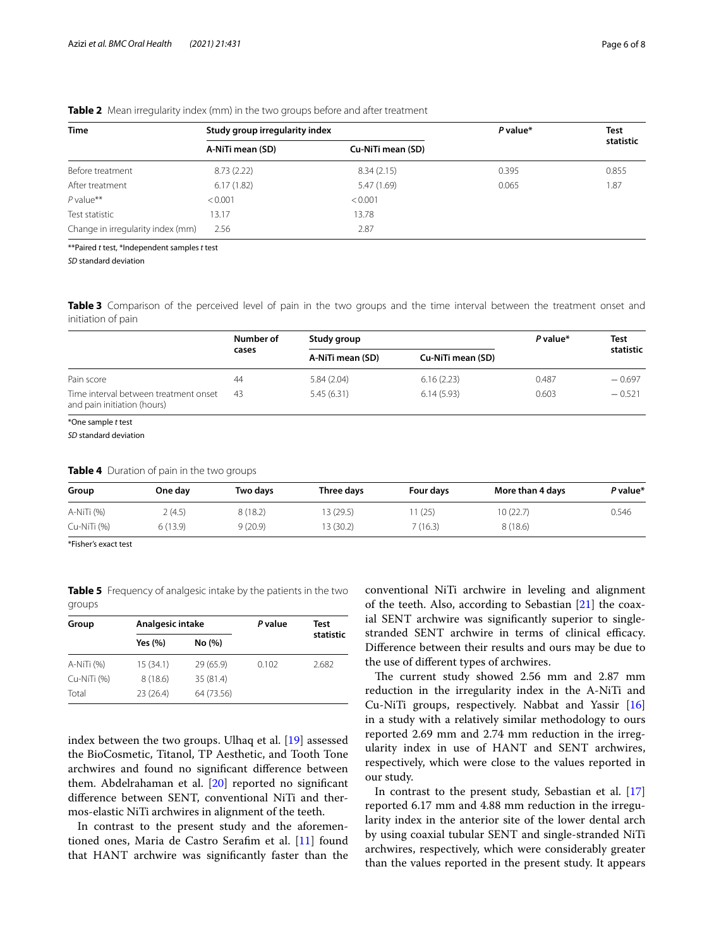| <b>Time</b>                       | Study group irregularity index |                   | $P$ value* | Test<br>statistic |
|-----------------------------------|--------------------------------|-------------------|------------|-------------------|
|                                   | A-NiTi mean (SD)               | Cu-NiTi mean (SD) |            |                   |
| Before treatment                  | 8.73(2.22)                     | 8.34(2.15)        | 0.395      | 0.855             |
| After treatment                   | 6.17(1.82)                     | 5.47 (1.69)       | 0.065      | 1.87              |
| $P$ value**                       | < 0.001                        | < 0.001           |            |                   |
| Test statistic                    | 13.17                          | 13.78             |            |                   |
| Change in irregularity index (mm) | 2.56                           | 2.87              |            |                   |

<span id="page-5-0"></span>**Table 2** Mean irregularity index (mm) in the two groups before and after treatment

\*\*Paired *t* test, \*Independent samples *t* test

*SD* standard deviation

<span id="page-5-1"></span>**Table 3** Comparison of the perceived level of pain in the two groups and the time interval between the treatment onset and initiation of pain

|                                                                      | Number of<br>cases | Study group      |                   | P value* | Test      |
|----------------------------------------------------------------------|--------------------|------------------|-------------------|----------|-----------|
|                                                                      |                    | A-NiTi mean (SD) | Cu-NiTi mean (SD) |          | statistic |
| Pain score                                                           | 44                 | 5.84(2.04)       | 6.16(2.23)        | 0.487    | $-0.697$  |
| Time interval between treatment onset<br>and pain initiation (hours) | 43                 | 5.45(6.31)       | 6.14(5.93)        | 0.603    | $-0.521$  |

\*One sample *t* test

*SD* standard deviation

<span id="page-5-2"></span>

| Group       | One day  | Two days | Three days | Four days | More than 4 days | P value* |
|-------------|----------|----------|------------|-----------|------------------|----------|
| A-NiTi (%)  | 2(4.5)   | 8(18.2)  | 13 (29.5)  | 1 (25)    | 10(22.7)         | 0.546    |
| Cu-NiTi (%) | 6 (13.9) | 9(20.9)  | 13 (30.2)  | 7 (16.3)  | 8(18.6)          |          |

\*Fisher's exact test

<span id="page-5-3"></span>**Table 5** Frequency of analgesic intake by the patients in the two groups

| Group       | Analgesic intake |            | P value | Test      |
|-------------|------------------|------------|---------|-----------|
|             | Yes (%)          | No (%)     |         | statistic |
| A-NiTi (%)  | 15(34.1)         | 29 (65.9)  | 0.102   | 2.682     |
| Cu-NiTi (%) | 8(18.6)          | 35 (81.4)  |         |           |
| Total       | 23(26.4)         | 64 (73.56) |         |           |

index between the two groups. Ulhaq et al. [\[19](#page-7-14)] assessed the BioCosmetic, Titanol, TP Aesthetic, and Tooth Tone archwires and found no signifcant diference between them. Abdelrahaman et al. [[20\]](#page-7-15) reported no signifcant diference between SENT, conventional NiTi and thermos-elastic NiTi archwires in alignment of the teeth.

In contrast to the present study and the aforementioned ones, Maria de Castro Serafm et al. [\[11](#page-7-6)] found that HANT archwire was signifcantly faster than the conventional NiTi archwire in leveling and alignment of the teeth. Also, according to Sebastian [\[21](#page-7-16)] the coaxial SENT archwire was signifcantly superior to singlestranded SENT archwire in terms of clinical efficacy. Diference between their results and ours may be due to the use of diferent types of archwires.

The current study showed 2.56 mm and 2.87 mm reduction in the irregularity index in the A-NiTi and Cu-NiTi groups, respectively. Nabbat and Yassir [[16](#page-7-11)] in a study with a relatively similar methodology to ours reported 2.69 mm and 2.74 mm reduction in the irregularity index in use of HANT and SENT archwires, respectively, which were close to the values reported in our study.

In contrast to the present study, Sebastian et al. [[17](#page-7-12)] reported 6.17 mm and 4.88 mm reduction in the irregularity index in the anterior site of the lower dental arch by using coaxial tubular SENT and single-stranded NiTi archwires, respectively, which were considerably greater than the values reported in the present study. It appears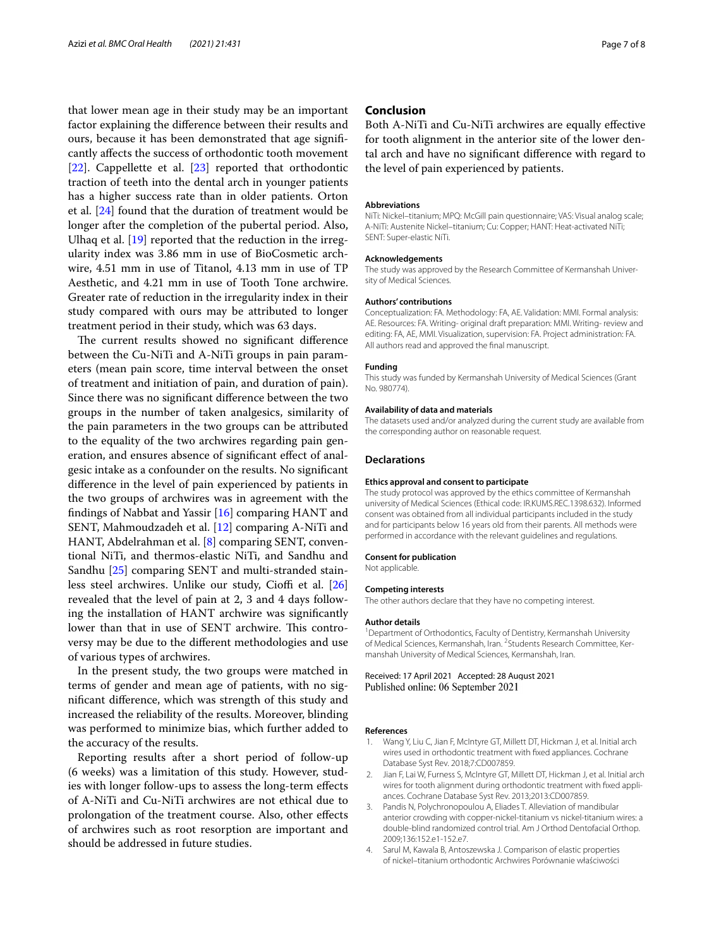that lower mean age in their study may be an important factor explaining the diference between their results and ours, because it has been demonstrated that age signifcantly afects the success of orthodontic tooth movement [[22\]](#page-7-17). Cappellette et al. [[23\]](#page-7-18) reported that orthodontic traction of teeth into the dental arch in younger patients has a higher success rate than in older patients. Orton et al. [[24](#page-7-19)] found that the duration of treatment would be longer after the completion of the pubertal period. Also, Ulhaq et al. [[19\]](#page-7-14) reported that the reduction in the irregularity index was 3.86 mm in use of BioCosmetic archwire, 4.51 mm in use of Titanol, 4.13 mm in use of TP Aesthetic, and 4.21 mm in use of Tooth Tone archwire. Greater rate of reduction in the irregularity index in their study compared with ours may be attributed to longer treatment period in their study, which was 63 days.

The current results showed no significant difference between the Cu-NiTi and A-NiTi groups in pain parameters (mean pain score, time interval between the onset of treatment and initiation of pain, and duration of pain). Since there was no signifcant diference between the two groups in the number of taken analgesics, similarity of the pain parameters in the two groups can be attributed to the equality of the two archwires regarding pain generation, and ensures absence of signifcant efect of analgesic intake as a confounder on the results. No signifcant diference in the level of pain experienced by patients in the two groups of archwires was in agreement with the fndings of Nabbat and Yassir [[16\]](#page-7-11) comparing HANT and SENT, Mahmoudzadeh et al. [\[12\]](#page-7-7) comparing A-NiTi and HANT, Abdelrahman et al. [\[8](#page-7-3)] comparing SENT, conventional NiTi, and thermos-elastic NiTi, and Sandhu and Sandhu [[25\]](#page-7-20) comparing SENT and multi-stranded stain-less steel archwires. Unlike our study, Cioffi et al. [[26](#page-7-21)] revealed that the level of pain at 2, 3 and 4 days following the installation of HANT archwire was signifcantly lower than that in use of SENT archwire. This controversy may be due to the diferent methodologies and use of various types of archwires.

In the present study, the two groups were matched in terms of gender and mean age of patients, with no signifcant diference, which was strength of this study and increased the reliability of the results. Moreover, blinding was performed to minimize bias, which further added to the accuracy of the results.

Reporting results after a short period of follow-up (6 weeks) was a limitation of this study. However, studies with longer follow-ups to assess the long-term efects of A-NiTi and Cu-NiTi archwires are not ethical due to prolongation of the treatment course. Also, other efects of archwires such as root resorption are important and should be addressed in future studies.

## **Conclusion**

Both A-NiTi and Cu-NiTi archwires are equally efective for tooth alignment in the anterior site of the lower dental arch and have no signifcant diference with regard to the level of pain experienced by patients.

#### **Abbreviations**

NiTi: Nickel–titanium; MPQ: McGill pain questionnaire; VAS: Visual analog scale; A-NiTi: Austenite Nickel–titanium; Cu: Copper; HANT: Heat-activated NiTi; SENT: Super-elastic NiTi.

#### **Acknowledgements**

The study was approved by the Research Committee of Kermanshah University of Medical Sciences.

#### **Authors' contributions**

Conceptualization: FA. Methodology: FA, AE. Validation: MMI. Formal analysis: AE. Resources: FA. Writing- original draft preparation: MMI. Writing- review and editing: FA, AE, MMI. Visualization, supervision: FA. Project administration: FA. All authors read and approved the fnal manuscript.

#### **Funding**

This study was funded by Kermanshah University of Medical Sciences (Grant No. 980774).

#### **Availability of data and materials**

The datasets used and/or analyzed during the current study are available from the corresponding author on reasonable request.

#### **Declarations**

#### **Ethics approval and consent to participate**

The study protocol was approved by the ethics committee of Kermanshah university of Medical Sciences (Ethical code: IR.KUMS.REC.1398.632). Informed consent was obtained from all individual participants included in the study and for participants below 16 years old from their parents. All methods were performed in accordance with the relevant guidelines and regulations.

## **Consent for publication**

Not applicable.

#### **Competing interests**

The other authors declare that they have no competing interest.

#### **Author details**

<sup>1</sup> Department of Orthodontics, Faculty of Dentistry, Kermanshah University of Medical Sciences, Kermanshah, Iran. <sup>2</sup> Students Research Committee, Kermanshah University of Medical Sciences, Kermanshah, Iran.

Received: 17 April 2021 Accepted: 28 August 2021 Published online: 06 September 2021

#### **References**

- <span id="page-6-0"></span>1. Wang Y, Liu C, Jian F, McIntyre GT, Millett DT, Hickman J, et al. Initial arch wires used in orthodontic treatment with fxed appliances. Cochrane Database Syst Rev. 2018;7:CD007859.
- <span id="page-6-1"></span>2. Jian F, Lai W, Furness S, McIntyre GT, Millett DT, Hickman J, et al. Initial arch wires for tooth alignment during orthodontic treatment with fxed appliances. Cochrane Database Syst Rev. 2013;2013:CD007859.
- <span id="page-6-3"></span>3. Pandis N, Polychronopoulou A, Eliades T. Alleviation of mandibular anterior crowding with copper-nickel-titanium vs nickel-titanium wires: a double-blind randomized control trial. Am J Orthod Dentofacial Orthop. 2009;136:152.e1-152.e7.
- <span id="page-6-2"></span>4. Sarul M, Kawala B, Antoszewska J. Comparison of elastic properties of nickel–titanium orthodontic Archwires Porównanie właściwości